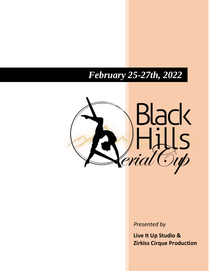# *February 25-27th, 2022*



*Presented by*

**Live It Up Studio & Zirkiss Cirque Production**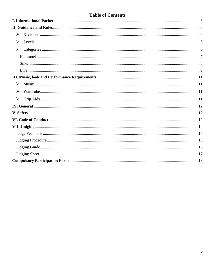## **Table of Contents**

| ➤                     |  |
|-----------------------|--|
| ➤                     |  |
| ➤                     |  |
|                       |  |
|                       |  |
|                       |  |
|                       |  |
| $\blacktriangleright$ |  |
| ⋗                     |  |
| $\blacktriangleright$ |  |
|                       |  |
|                       |  |
|                       |  |
|                       |  |
|                       |  |
|                       |  |
|                       |  |
|                       |  |
|                       |  |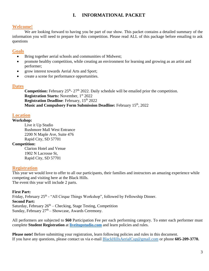## **I. INFORMATIONAL PACKET**

#### <span id="page-2-0"></span>**Welcome!**

We are looking forward to having you be part of our show. This packet contains a detailed summary of the information you will need to prepare for this competition. Please read ALL of this package before emailing to ask questions

#### **Goals**

- Bring together aerial schools and communities of Midwest;
- promote healthy competition, while creating an environment for learning and growing as an artist and performer;
- grow interest towards Aerial Arts and Sport;
- create a scene for performance opportunities.

#### **Dates**

**Competition:** February 25<sup>th</sup>-27<sup>th</sup> 2022. Daily schedule will be emailed prior the competition. **Registration Starts:** November, 1 st 2022 **Registration Deadline**: February, 15<sup>th</sup> 2022 **Music and Compulsory Form Submission Deadline:** February 15th, 2022

#### **Location**

#### **Workshop:**

Live it Up Studio Rushmore Mall West Entrance 2200 N Maple Ave, Suite 476 Rapid City, SD 57701

#### **Competition:**

Clarion Hotel and Venue 1902 N Lacrosse St, Rapid City, SD 57701

#### **Registration**

This year we would love to offer to all our participants, their families and instructors an amazing experience while competing and visiting here at the Black Hills. The event this year will include 2 parts.

#### **First Part:**

Friday, February 25<sup>th</sup> - "All Cirque Things Workshop", followed by Fellowship Dinner. **Second Part:** Saturday, February  $26<sup>th</sup> - Checking$ , Stage Testing, Competition Sunday, February  $27<sup>th</sup>$  – Showcase, Awards Ceremony.

All performers are subjected to **\$60** Participation Fee per each performing category. To enter each performer must complete **Student Registration** at **[liveitupstudio.com](http://www.liveitupstudio.com/)** and learn policies and rules.

**Please note!** Before submitting your registration, learn following policies and rules in this document. If you have any questions, please contact us via e-mail BlackHillsAerialCup@gmail.com or phone **605-209-3770.**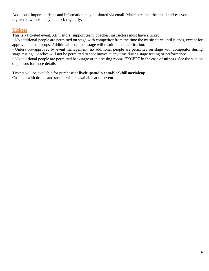Additional important dates and information may be shared via email. Make sure that the email address you registered with is one you check regularly.

#### **Tickets**

This is a ticketed event. All visitors, support team, coaches, instructors must have a ticket.

• No additional people are permitted on stage with competitor from the time the music starts until it ends, except for approved human props. Additional people on stage will result in disqualification.

• Unless pre-approved by event management, no additional people are permitted on stage with competitor during stage testing. Coaches will not be permitted to spot moves at any time during stage testing or performance.

• No additional people are permitted backstage or in dressing rooms EXCEPT in the case of **minors**. See the section on juniors for more details.

Tickets will be available for purchase at **liveitupstudio.com/blackhillsaerialcup** Cash bar with drinks and snacks will be available at the event.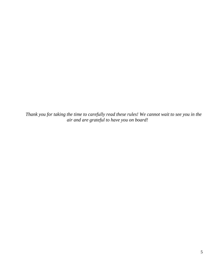*Thank you for taking the time to carefully read these rules! We cannot wait to see you in the air and are grateful to have you on board!*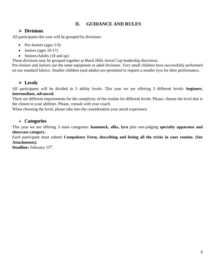## **II. GUIDANCE AND RULES**

## <span id="page-5-0"></span>**Divisions**

<span id="page-5-1"></span>All participants this year will be grouped by divisions:

- Pre-Juniors (ages 5-9)
- Juniors (ages 10-17)
- Seniors/Adults (18 and up)

These divisions may be grouped together at Black Hills Aerial Cup leadership discretion.

Pre-Juniors and Juniors use the same equipment as adult divisions. Very small children have successfully performed on our standard fabrics. Smaller children (and adults) are permitted to request a smaller lyra for their performance.

## **Levels**

<span id="page-5-2"></span>All participants will be divided in 3 ability levels. This year we are offering 3 different levels: **beginner, intermediate, advanced.**

There are different requirements for the complicity of the routine for different levels. Please, choose the level that is the closest to your abilities. Please, consult with your coach.

When choosing the level, please take into the consideration your aerial experience.

## <span id="page-5-3"></span>**Categories**

This year we are offering 3 main categories: **hammock, silks, lyra** plus non-judging **specialty apparatus and showcase category.**

Each participant must submit **Compulsory Form, describing and listing all the tricks in your routine. (See Attachments).**

**Deadline:** February 15<sup>th</sup>.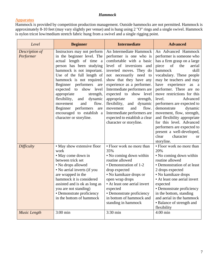#### *Hammock*

#### <span id="page-6-0"></span>**Apparatus**

Hammock is provided by competition production management. Outside hammocks are not permitted. Hammock is approximately 8-10 feet (may vary slightly per venue) and is hung using 2 "O" rings and a single swivel. Hammock is nylon tricot low/medium stretch fabric hung from a swivel and a single rigging point.

| Level                       | <b>Intermediate</b><br><b>Beginner</b>                                                                                                                                                                                                                                                                                                                                                                                                                  |                                                                                                                                                                                                                                                                                                                                                                                                                                                                        | <b>Advanced</b>                                                                                                                                                                                                                                                                                                                                                                                                                                                                                                                                                  |
|-----------------------------|---------------------------------------------------------------------------------------------------------------------------------------------------------------------------------------------------------------------------------------------------------------------------------------------------------------------------------------------------------------------------------------------------------------------------------------------------------|------------------------------------------------------------------------------------------------------------------------------------------------------------------------------------------------------------------------------------------------------------------------------------------------------------------------------------------------------------------------------------------------------------------------------------------------------------------------|------------------------------------------------------------------------------------------------------------------------------------------------------------------------------------------------------------------------------------------------------------------------------------------------------------------------------------------------------------------------------------------------------------------------------------------------------------------------------------------------------------------------------------------------------------------|
| Description of<br>Performer | Instructors may not perform<br>in the beginner level. The<br>actual length of time a<br>person has been studying<br>hammock is not important.<br>Use of the full length of<br>hammock is not required.<br>Beginner performers<br>are<br>expected<br>show<br>to<br>level<br>appropriate<br>strength,<br>flexibility,<br>and dynamic<br>flow.<br>movement<br>and<br>performers<br>Beginner<br>are<br>encouraged to establish a<br>character or storyline. | An Intermediate Hammock<br>performer is one who is<br>comfortable with a basic<br>level of inversions<br>and<br>inverted moves. They do<br>not necessarily need to<br>show that they have any<br>experience as a performer.<br>Intermediate performers are<br>expected to show level<br>appropriate<br>strength,<br>flexibility,<br>and dynamic<br>movement<br>flow.<br>and<br>Intermediate performers are<br>expected to establish a clear<br>character or storyline. | An Advanced Hammock<br>performer is someone who<br>has a firm grasp on a large<br>of<br>the<br>piece<br>aerial<br>hammock<br>skill<br>vocabulary. These people<br>may be teachers and may<br>have experience as<br>a a<br>performer. There are no<br>move restrictions for this<br>level.<br>Advanced<br>performers are expected to<br>demonstrate<br>dynamic<br>movement, flow, strength,<br>and flexibility appropriate<br>for this level. Advanced<br>performers are expected to<br>present a well-developed,<br>clear<br>character<br>$\alpha$<br>storyline. |
| Difficulty                  | • May show extensive floor<br>work<br>• May come down in<br>between trick set<br>• No drops allowed<br>• No aerial inverts (if you<br>are wrapped in the<br>hammock it is considered<br>assisted and is ok as long as<br>you are not standing)<br>• Demonstrate proficiency<br>in the bottom of hammock                                                                                                                                                 | • Floor work no more than<br>35%<br>• No coming down within<br>routine allowed<br>• Demonstration of 1-2<br>drop expected<br>• No kamikaze drops or<br>open wrap drops<br>• At least one aerial invert<br>expected<br>• Demonstrate proficiency<br>in bottom of hammock and<br>standing in hammock                                                                                                                                                                     | • Floor work no more than<br>20%<br>• No coming down within<br>routine allowed<br>• Demonstration of at least<br>2 drops expected<br>• No kamikaze drops<br>• At least one aerial invert<br>expected<br>• Demonstrate proficiency<br>in the bottom, standing<br>and aerial in the hammock<br>· Balance of strength and<br>flexibility                                                                                                                                                                                                                            |
| Music Length                | $3:00$ min                                                                                                                                                                                                                                                                                                                                                                                                                                              | 3:30 min                                                                                                                                                                                                                                                                                                                                                                                                                                                               | $4:00$ min                                                                                                                                                                                                                                                                                                                                                                                                                                                                                                                                                       |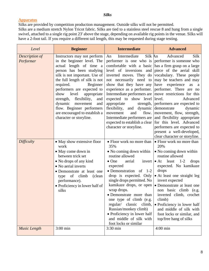#### *Silks*

#### <span id="page-7-0"></span>**Apparatus**

Silks are provided by competition production management. Outside silks will not be permitted. Silks are a medium stretch Nylon Tricot fabric. Silks are tied to a stainless steel rescue 8 and hung from a single

swivel, attached to a single rig point 23' above the stage, depending on available rig points in the venue. Silks will have a 2-foot tail. If you require a different tail length, this may be requested during stage testing.

| Level                       | <b>Intermediate</b><br><b>Beginner</b>                                                                                                                                                                                                                                                                                                                                                                                                |                                                                                                                                                                                                                                                                                                                                                                                                                                                                                                                                                                                                                                                                                                       | <b>Advanced</b>                                                                                                                                                                                                                                                                                                                                                                                                                  |
|-----------------------------|---------------------------------------------------------------------------------------------------------------------------------------------------------------------------------------------------------------------------------------------------------------------------------------------------------------------------------------------------------------------------------------------------------------------------------------|-------------------------------------------------------------------------------------------------------------------------------------------------------------------------------------------------------------------------------------------------------------------------------------------------------------------------------------------------------------------------------------------------------------------------------------------------------------------------------------------------------------------------------------------------------------------------------------------------------------------------------------------------------------------------------------------------------|----------------------------------------------------------------------------------------------------------------------------------------------------------------------------------------------------------------------------------------------------------------------------------------------------------------------------------------------------------------------------------------------------------------------------------|
| Description of<br>Performer | Instructors may not perform<br>in the beginner level. The<br>actual length of time a<br>person has been studying<br>silk is not important. Use of<br>the full length of silk is not<br>required.<br>Beginner<br>performers are expected to<br>level<br>appropriate<br>show<br>flexibility,<br>strength,<br>and<br>dynamic<br>movement<br>and<br>flow. Beginner performers<br>are encouraged to establish a<br>character or storyline. | Silk An<br>Intermediate<br>An<br>performer is one who is performer is someone who<br>comfortable with a basic has a firm grasp on a large<br>level of inversions and piece of the aerial skill<br>inverted moves. They do vocabulary. These people<br>not necessarily need to may be teachers and may<br>show that they have any have experience<br>experience as a performer.   performer. There are no<br>Intermediate performers are move restrictions for this<br>expected to show level level.<br>appropriate<br>and dynamic demonstrate<br>flexibility,<br>movement<br>and<br>Intermediate performers are<br>expected to establish a clear [for this level. Advanced<br>character or storyline. | Silk<br>Advanced<br>as<br><sub>a</sub><br>Advanced<br>strength, performers are expected to<br>dynamic<br>flow. movement, flow, strength,<br>and flexibility appropriate<br>performers are expected to<br>present a well-developed,<br>clear character or storyline.                                                                                                                                                              |
| Difficulty                  | • May show extensive floor<br>work<br>• May come down in<br>between trick set<br>• No drops of any kind<br>• No aerial inverts<br>• Demonstrate at least one<br>of climb<br>(clean)<br>type<br>performance).<br>• Proficiency in lower half of<br>silks                                                                                                                                                                               | • Floor work no more than<br>35%<br>• No coming down within<br>routine allowed<br>$\bullet$ One<br>invert $\bullet$ At<br>aerial<br>expected<br>• Demonstration of 1-2<br>drop is expected. Only<br>single drops permitted. No<br>wrap drops.<br>• Demonstrate more than<br>one type of climb (e.g.<br>regular/<br>classic<br>climb,<br>Russian/monkey climb)<br>• Proficiency in lower half<br>and middle of silk with<br>foot locks or similar                                                                                                                                                                                                                                                      | • Floor work no more than<br>20%<br>• No coming down within<br>routine allowed<br>least $1-2$<br>drops<br>expected. No kamikaze<br>drops<br>• At least one straight leg<br>invert expected<br>kamikaze drops, or open • Demonstrate at least one<br>non basic climb (e.g.<br>inverted climb, crochet<br>climb)<br>• Proficiency in lower half<br>and middle of silk with<br>foot locks or similar, and<br>top/free hang of silks |
| <b>Music Length</b>         | $3:00$ min                                                                                                                                                                                                                                                                                                                                                                                                                            | 3:30 min                                                                                                                                                                                                                                                                                                                                                                                                                                                                                                                                                                                                                                                                                              | $4:00$ min                                                                                                                                                                                                                                                                                                                                                                                                                       |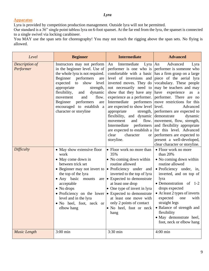*Lyra*

#### <span id="page-8-0"></span>**Apparatus**

Lyra is provided by competition production management. Outside lyra will not be permitted.

Our standard is a 36" single point tabless lyra on 6-foot spanset. At the far end from the lyra, the spanset is connected to a single swivel via locking carabineer.

You MAY use the span sets for choreography! You may not touch the rigging above the span sets. No flying is allowed.

| Level                       | <b>Beginner</b>                                                                                                                                                                                                                                                                                                                                                                   | <b>Intermediate</b>                                                                                                                                                                                                                                                                                  | <b>Advanced</b>                                                                                                                                                                                                                                                                                                                                                                                                                                                                                                                                                                                                                                                                                                               |
|-----------------------------|-----------------------------------------------------------------------------------------------------------------------------------------------------------------------------------------------------------------------------------------------------------------------------------------------------------------------------------------------------------------------------------|------------------------------------------------------------------------------------------------------------------------------------------------------------------------------------------------------------------------------------------------------------------------------------------------------|-------------------------------------------------------------------------------------------------------------------------------------------------------------------------------------------------------------------------------------------------------------------------------------------------------------------------------------------------------------------------------------------------------------------------------------------------------------------------------------------------------------------------------------------------------------------------------------------------------------------------------------------------------------------------------------------------------------------------------|
| Description of<br>Performer | Instructors may not perform<br>in the beginner level. Use of<br>the whole lyra is not required.<br>Beginner performers<br>are<br>expected<br>to<br>show<br>level<br>appropriate<br>strength,<br>flexibility,<br>dynamic<br>and<br>flow.<br>and<br>movement<br>Beginner<br>performers<br>are<br>encouraged to establish a<br>character or storyline                                | Intermediate<br>Lyra $\vert$ An<br>An<br>show that they have any have experience<br>Intermediate<br>are expected to show level level.<br>appropriate<br>flexibility, and dynamic demonstrate<br>and<br>movement<br>clear<br>character<br>storyline.                                                  | Advanced<br>Lyra<br>performer is one who is performer is someone who<br>comfortable with a basic has a firm grasp on a large<br>level of inversions and piece of the aerial lyra<br>inverted moves. They do vocabulary. These people<br>not necessarily need to may be teachers and may<br>as<br><sub>a</sub><br>experience as a performer. performer. There are no<br>performers move restrictions for this<br>Advanced<br>strength, performers are expected to<br>dynamic<br>flow. movement, flow, strength,<br>Intermediate performers and flexibility appropriate<br>are expected to establish a [for this level. Advanced<br>or performers are expected to<br>present a well-developed,<br>clear character or storyline. |
| Difficulty                  | • May show extensive floor<br>work<br>• May come down in<br>between trick set<br>• Beginner may not invert to $  \bullet \text{ Proficiency} \text{ under and}$<br>the top of the lyra<br>• Any basic mounts<br>acceptable<br>$\bullet$ No drops<br>• Proficiency on the lower $\cdot$ Expected to demonstrate<br>level and in the lyra<br>• No heel, foot, neck or<br>elbow hang | • Floor work no more than<br>35%<br>• No coming down within<br>routine allowed<br>inverted to the top of lyra<br>are $\bullet$ Expected to demonstrate<br>at least one drop<br>• One type of invert in lyra<br>at least one move with<br>only 2 points of contact<br>• No heel, foot or neck<br>hang | • Floor work no more<br>than 20%<br>• No coming down within<br>routine allowed<br>$\bullet$ Proficiency under, in,<br>inverted, and on top of<br>lyra<br>• Demonstration<br>of $1-2$<br>drops expected<br>• At least 2 types of inverts<br>expected<br>one<br>with<br>straight legs<br>• Balance of strength and<br>flexibility<br>· May demonstrate heel,<br>foot, neck or elbow hang                                                                                                                                                                                                                                                                                                                                        |
| <b>Music Length</b>         | $3:00$ min                                                                                                                                                                                                                                                                                                                                                                        | 3:30 min                                                                                                                                                                                                                                                                                             | $4:00$ min                                                                                                                                                                                                                                                                                                                                                                                                                                                                                                                                                                                                                                                                                                                    |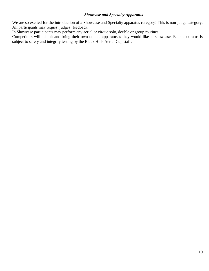#### *Showcase and Specialty Apparatus*

We are so excited for the introduction of a Showcase and Specialty apparatus category! This is non-judge category. All participants may request judges' feedback.

In Showcase participants may perform any aerial or cirque solo, double or group routines.

Competitors will submit and bring their own unique apparatuses they would like to showcase. Each apparatus is subject to safety and integrity testing by the Black Hills Aerial Cup staff.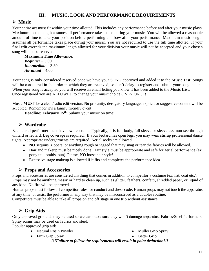## **III. MUSIC, LOOK AND PERFORMANCE REQUIREMENTS**

## <span id="page-10-1"></span><span id="page-10-0"></span>**Music**

Your entire act must fit within your time allotted. This includes any performance before and after your music plays. Maximum music length assumes all performance takes place during your music. You will be allowed a reasonable amount of time to take your position before performing and bow after your performance. Maximum music length assumes all performance takes place during your music. You are not required to use the full time allotted! If your final edit exceeds the maximum length allowed for your division your music will not be accepted and your chosen song will not be reserved.

**Maximum Time Allowance:**  *Beginner* – 3:00 *Intermediate* – 3:30 *Advanced* – 4:00

Your song is only considered reserved once we have your SONG approved and added it to the **Music List**. Songs will be considered in the order in which they are received, so don't delay to register and submit your song choice! When your song is accepted you will receive an email letting you know it has been added to the **Music List**. Once registered you are ALLOWED to change your music choice ONLY ONCE!

Music **MUST** be a clean/radio edit version. **No** profanity, derogatory language, explicit or suggestive content will be accepted. Remember it's a family friendly event!

**Deadline: February 15th .** Submit your music on time!

## <span id="page-10-2"></span>**Wardrobe**

Each aerial performer must have own costume. Typically, it is full-body, full sleeve or sleeveless, non-see-through unitard or leotard. Leg coverage is required. If your leotard has open legs, you may wear stirrup professional dance tights. Appropriate undergarments are required. Aerial socks are allowed.

- NO sequins, zippers, or anything rough or jagged that may snag or tear the fabrics will be allowed.
- Hair and makeup must be nicely done. Hair style must be appropriate and safe for aerial performance (ex. pony tail, braids, bun). Please, **NO** loose hair style!
- Excessive stage makeup is allowed if it fits and completes the performance idea.

## **Props and Accessories**

Props and accessories are considered anything that comes in addition to competitor's costume (ex. hat, coat etc.). Props may not be anything messy or hard to clean up, such as glitter, feathers, confetti, shredded paper, or liquid of any kind. No fire will be approved.

Human props must follow all competitor rules for conduct and dress code. Human props may not touch the apparatus at any time, or assist the performer in any way that may be misconstrued as a doubles routine.

Competitors must be able to take all props on and off stage in one trip without assistance.

## **Grip Aids**

<span id="page-10-3"></span>Only approved grip aids may be used so we can make sure they won't damage apparatus. Fabrics/Steel Performers: Spray rosins may be used on fabrics and steel.

Popular approved grip aids:

- Natural Rosin Powder
	- Muller Grip Spray • Better Grip
- Firm Grip Spray
	- *!!!Failure to follow the requirements will result in point deduction!!!*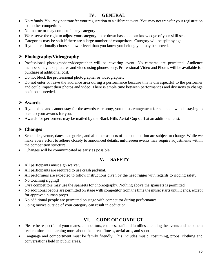## **IV. GENERAL**

- <span id="page-11-0"></span> No refunds. You may not transfer your registration to a different event. You may not transfer your registration to another competitor.
- No instructor may compete in any category.
- We reserve the right to adjust your category up or down based on our knowledge of your skill set.
- Categories may be split if there are a large number of competitors. Category will be split by age.
- If you intentionally choose a lower level than you know you belong you may be moved.

#### **Photography/Videography**

- Professional photographer/videographer will be covering event. No cameras are permitted. Audience members may take pictures and video using phones only. Professional Video and Photos will be available for purchase at additional cost.
- Do not block the professional photographer or videographer.
- Do not enter or leave the audience area during a performance because this is disrespectful to the performer and could impact their photos and video. There is ample time between performances and divisions to change position as needed.

#### **Awards**

- If you place and cannot stay for the awards ceremony, you must arrangement for someone who is staying to pick up your awards for you.
- Awards for performers may be mailed by the Black Hills Aerial Cup staff at an additional cost.

#### **Changes**

- Schedules, venue, dates, categories, and all other aspects of the competition are subject to change. While we make every effort to adhere closely to announced details, unforeseen events may require adjustments within the competition structure.
- Changes will be communicated as early as possible.

#### <span id="page-11-1"></span>**V. SAFETY**

- All participants must sign waiver.
- All participants are required to use crash pad/mat.
- All performers are expected to follow instructions given by the head rigger with regards to rigging safety.
- No touching rigging!
- Lyra competitors may use the spansets for choreography. Nothing above the spansets is permitted.
- No additional people are permitted on stage with competitor from the time the music starts until it ends, except for approved human props.
- No additional people are permitted on stage with competitor during performance.
- <span id="page-11-2"></span>Doing moves outside of your category can result in deduction.

## **VI. CODE OF CONDUCT**

- Please be respectful of your mates, competitors, coaches, staff and families attending the events and help them feel comfortable learning more about the circus fitness, aerial arts, and sport.
- Language and comportment must be family friendly. This includes music, costuming, props, clothing and conversations held in public areas.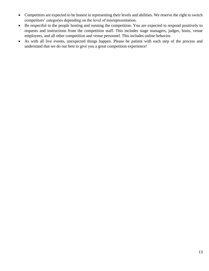- Competitors are expected to be honest in representing their levels and abilities. We reserve the right to switch competitors' categories depending on the level of misrepresentation.
- Be respectful to the people hosting and running the competition. You are expected to respond positively to requests and instructions from the competition staff. This includes stage managers, judges, hosts, venue employees, and all other competition and venue personnel. This includes online behavior.
- <span id="page-12-0"></span> As with all live events, unexpected things happen. Please be patient with each step of the process and understand that we do our best to give you a great competition experience!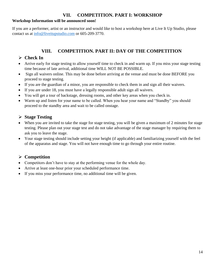#### **VII. COMPETITION. PART I: WORKSHOP**

#### **Workshop Information will be announced soon!**

If you are a performer, artist or an instructor and would like to host a workshop here at Live It Up Studio, please contact us at [info@liveitupstudio.com](mailto:info@liveitupstudio.com) or 605-209-3770.

## **VIII. COMPETITION. PART II: DAY OF THE COMPETITION**

#### **Check In**

- Arrive early for stage testing to allow yourself time to check in and warm up. If you miss your stage testing time because of late arrival, additional time WILL NOT BE POSSIBLE.
- Sign all waivers online. This may be done before arriving at the venue and must be done BEFORE you proceed to stage testing.
- If you are the guardian of a minor, you are responsible to check them in and sign all their waivers.
- If you are under 18, you must have a legally responsible adult sign all waivers.
- You will get a tour of backstage, dressing rooms, and other key areas when you check in.
- Warm up and listen for your name to be called. When you hear your name and "Standby" you should proceed to the standby area and wait to be called onstage.

#### **Stage Testing**

- When you are invited to take the stage for stage testing, you will be given a maximum of 2 minutes for stage testing. Please plan out your stage test and do not take advantage of the stage manager by requiring them to ask you to leave the stage.
- Your stage testing should include setting your height (if applicable) and familiarizing yourself with the feel of the apparatus and stage. You will not have enough time to go through your entire routine.

#### **Competition**

- Competitors don't have to stay at the performing venue for the whole day.
- Arrive at least one-hour prior your scheduled performance time.
- If you miss your performance time, no additional time will be given.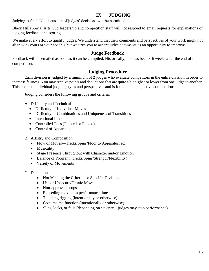## **IX. JUDGING**

Judging is final. No discussion of judges' decisions will be permitted.

Black Hills Aerial Arts Cup leadership and competition staff will not respond to email requests for explanations of judging feedback and scoring.

We make every effort to qualify judges. We understand that their comments and perspectives of your work might not align with yours or your coach's but we urge you to accept judge comments as an opportunity to improve.

#### **Judge Feedback**

<span id="page-14-0"></span>Feedback will be emailed as soon as it can be compiled. Historically, this has been 3-6 weeks after the end of the competition.

#### **Judging Procedure**

<span id="page-14-1"></span>Each division is judged by a minimum of **2** judges who evaluate competitors in the entire division in order to increase fairness. You may receive points and deductions that are quite a bit higher or lower from one judge to another. This is due to individual judging styles and perspectives and is found in all subjective competitions.

Judging considers the following groups and criteria:

- A. Difficulty and Technical
	- Difficulty of Individual Moves
	- Difficulty of Combinations and Uniqueness of Transitions
	- Intentional Lines
	- Controlled Toes (Pointed or Flexed)
	- Control of Apparatus
- B. Artistry and Composition
	- Flow of Moves—Tricks/Spins/Floor to Apparatus, etc.
	- Musicality
	- Stage Presence Throughout with Character and/or Emotion
	- Balance of Program (Tricks/Spins/Strength/Flexibility)
	- Variety of Movements
- C. Deductions
	- Not Meeting the Criteria for Specific Division
	- Use of Unsecure/Unsafe Moves
	- Non-approved props
	- Exceeding maximum performance time
	- Touching rigging (intentionally or otherwise)
	- Costume malfunction (intentionally or otherwise)
	- Slips, locks, or falls (depending on severity—judges may stop performance)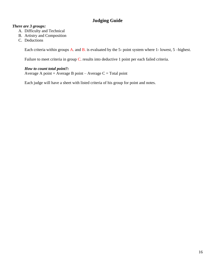## **Judging Guide**

#### <span id="page-15-0"></span>*There are 3 groups:*

- A. Difficulty and Technical
- B. Artistry and Composition
- C. Deductions

Each criteria within groups A. and B. is evaluated by the 5- point system where 1- lowest, 5 –highest.

Failure to meet criteria in group C. results into deductive 1 point per each failed criteria.

#### *How to count total point?:*

Average A point + Average B point – Average  $C = \text{Total point}$ 

Each judge will have a sheet with listed criteria of his group for point and notes.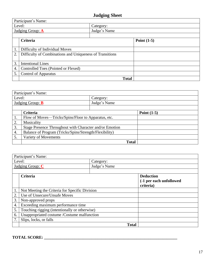# **Judging Sheet**

<span id="page-16-0"></span>

| Participant's Name:              |                                                          |              |               |  |
|----------------------------------|----------------------------------------------------------|--------------|---------------|--|
|                                  | Level:<br>Category:                                      |              |               |  |
| Judge's Name<br>Judging Group: A |                                                          |              |               |  |
|                                  |                                                          |              |               |  |
|                                  | Criteria                                                 |              | Point $(1-5)$ |  |
|                                  |                                                          |              |               |  |
| -1.                              | Difficulty of Individual Moves                           |              |               |  |
| 2.                               | Difficulty of Combinations and Uniqueness of Transitions |              |               |  |
|                                  |                                                          |              |               |  |
| 3.                               | <b>Intentional Lines</b>                                 |              |               |  |
| 4.                               | Controlled Toes (Pointed or Flexed)                      |              |               |  |
| 5.                               | <b>Control of Apparatus</b>                              |              |               |  |
|                                  |                                                          | <b>Total</b> |               |  |

| Participant's Name:     |                                                         |              |              |  |  |
|-------------------------|---------------------------------------------------------|--------------|--------------|--|--|
|                         | Level:<br>Category:                                     |              |              |  |  |
| Judging Group: <b>B</b> |                                                         | Judge's Name |              |  |  |
|                         |                                                         |              |              |  |  |
|                         | <b>Criteria</b><br>Point $(1-5)$                        |              |              |  |  |
| 1.                      | Flow of Moves—Tricks/Spins/Floor to Apparatus, etc.     |              |              |  |  |
| 2.                      | Musicality                                              |              |              |  |  |
| 3.                      | Stage Presence Throughout with Character and/or Emotion |              |              |  |  |
| 4.                      | Balance of Program (Tricks/Spins/Strength/Flexibility)  |              |              |  |  |
| 5.                      | Variety of Movements                                    |              |              |  |  |
|                         |                                                         |              | <b>Total</b> |  |  |

| Participant's Name:                              |                                                |                         |  |  |
|--------------------------------------------------|------------------------------------------------|-------------------------|--|--|
| Level:                                           | Category:                                      |                         |  |  |
| Judging Group: $C$                               | Judge's Name                                   |                         |  |  |
|                                                  |                                                |                         |  |  |
| Criteria                                         |                                                |                         |  |  |
|                                                  |                                                | (-1 per each unfollowed |  |  |
|                                                  |                                                |                         |  |  |
| $\mathbf{1}$                                     | Not Meeting the Criteria for Specific Division |                         |  |  |
| Use of Unsecure/Unsafe Moves<br>$\overline{2}$ . |                                                |                         |  |  |
| 3.<br>Non-approved props                         |                                                |                         |  |  |
| $\overline{4}$                                   | Exceeding maximum performance time             |                         |  |  |
| 5.                                               | Touching rigging (intentionally or otherwise)  |                         |  |  |
| Unappropriated costume /Costume malfunction      |                                                |                         |  |  |
| $\overline{7}$<br>Slips, locks, or falls         |                                                |                         |  |  |
|                                                  | <b>Total</b>                                   |                         |  |  |

# **TOTAL SCORE: \_\_\_\_\_\_\_\_\_\_\_\_\_\_\_\_\_\_\_\_\_\_\_\_\_\_\_\_\_\_\_\_\_\_\_\_\_\_\_\_\_\_\_\_\_\_\_\_\_\_\_\_\_\_\_\_\_\_\_\_\_\_\_\_\_**